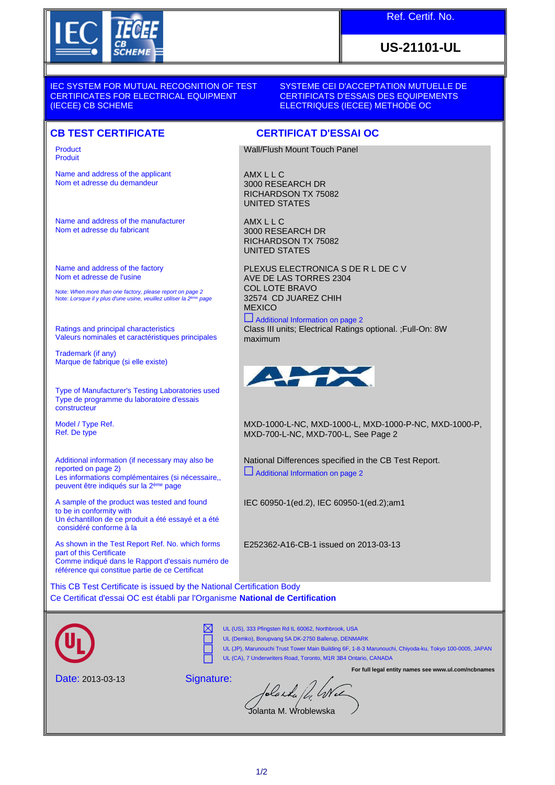

## Ref. Certif. No.

# **US-21101-UL**

IEC SYSTEM FOR MUTUAL RECOGNITION OF TEST CERTIFICATES FOR ELECTRICAL EQUIPMENT (IECEE) CB SCHEME

SYSTEME CEI D'ACCEPTATION MUTUELLE DE CERTIFICATS D'ESSAIS DES EQUIPEMENTS ELECTRIQUES (IECEE) METHODE OC

### **CB TEST CERTIFICATE CERTIFICAT D'ESSAI OC**

Product Produit

Name and address of the applicant Nom et adresse du demandeur

Name and address of the manufacturer Nom et adresse du fabricant

Name and address of the factory Nom et adresse de l'usine

Note: *When more than one factory, please report on page 2*<br>Note: *Lorsque il y plus d'une usine, veuillez utiliser la 2<sup>ème</sup> page* 

Ratings and principal characteristics Valeurs nominales et caractéristiques principales

Trademark (if any) Marque de fabrique (si elle existe)

Type of Manufacturer's Testing Laboratories used Type de programme du laboratoire d'essais constructeur

Model / Type Ref. Ref. De type

Additional information (if necessary may also be reported on page 2) Les informations complémentaires (si nécessaire,, peuvent être indiqués sur la 2ème page

A sample of the product was tested and found to be in conformity with Un échantillon de ce produit a été essayé et a été considéré conforme à la

As shown in the Test Report Ref. No. which forms part of this Certificate Comme indiqué dans le Rapport d'essais numéro de référence qui constitue partie de ce Certificat

Wall/Flush Mount Touch Panel

AMX L L C 3000 RESEARCH DR RICHARDSON TX 75082 UNITED STATES

AMX L L C 3000 RESEARCH DR RICHARDSON TX 75082 UNITED STATES

PLEXUS ELECTRONICA S DE R L DE C V AVE DE LAS TORRES 2304 COL LOTE BRAVO 32574 CD JUAREZ CHIH **MEXICO** 

Additional Information on page 2

Class III units; Electrical Ratings optional. ;Full-On: 8W maximum



MXD-1000-L-NC, MXD-1000-L, MXD-1000-P-NC, MXD-1000-P, MXD-700-L-NC, MXD-700-L, See Page 2

National Differences specified in the CB Test Report. Additional Information on page 2

IEC 60950-1(ed.2), IEC 60950-1(ed.2);am1

E252362-A16-CB-1 issued on 2013-03-13

This CB Test Certificate is issued by the National Certification Body Ce Certificat d'essai OC est établi par l'Organisme **National de Certification**



UL (US), 333 Pfingsten Rd IL 60062, Northbrook, USA

UL (Demko), Borupvang 5A DK-2750 Ballerup, DENMARK

UL (JP), Marunouchi Trust Tower Main Building 6F, 1-8-3 Marunouchi, Chiyoda-ku, Tokyo 100-0005, JAPAN UL (CA), 7 Underwriters Road, Toronto, M1R 3B4 Ontario, CANADA

**For full legal entity names see www.ul.com/ncbnames**

Date: 2013-03-13

Signature:

⊠

blaska fd, GNe